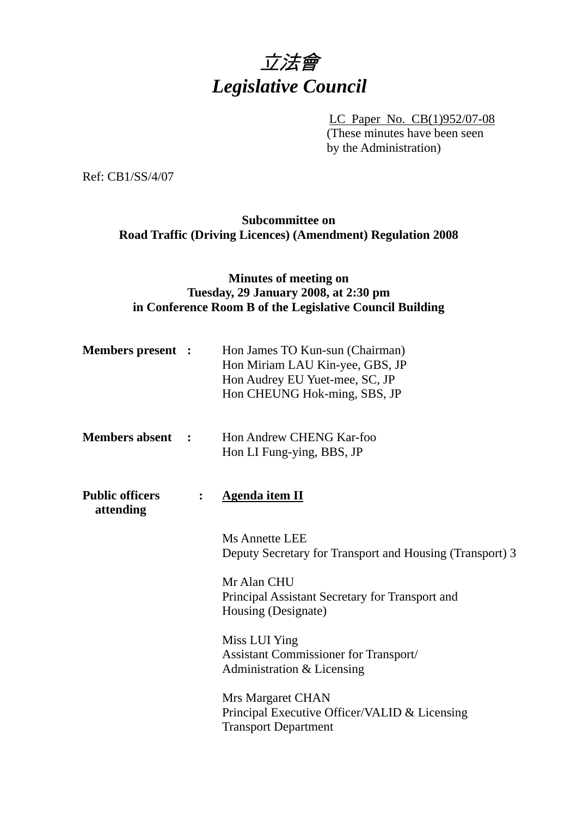

LC Paper No. CB(1)952/07-08 (These minutes have been seen by the Administration)

Ref: CB1/SS/4/07

## **Subcommittee on Road Traffic (Driving Licences) (Amendment) Regulation 2008**

### **Minutes of meeting on Tuesday, 29 January 2008, at 2:30 pm in Conference Room B of the Legislative Council Building**

| <b>Members present :</b>            |                | Hon James TO Kun-sun (Chairman)<br>Hon Miriam LAU Kin-yee, GBS, JP<br>Hon Audrey EU Yuet-mee, SC, JP<br>Hon CHEUNG Hok-ming, SBS, JP |
|-------------------------------------|----------------|--------------------------------------------------------------------------------------------------------------------------------------|
| <b>Members absent :</b>             |                | Hon Andrew CHENG Kar-foo<br>Hon LI Fung-ying, BBS, JP                                                                                |
| <b>Public officers</b><br>attending | $\ddot{\cdot}$ | <b>Agenda item II</b>                                                                                                                |
|                                     |                | Ms Annette LEE<br>Deputy Secretary for Transport and Housing (Transport) 3                                                           |
|                                     |                | Mr Alan CHU<br>Principal Assistant Secretary for Transport and<br>Housing (Designate)                                                |
|                                     |                | Miss LUI Ying<br><b>Assistant Commissioner for Transport/</b><br>Administration & Licensing                                          |
|                                     |                | Mrs Margaret CHAN<br>Principal Executive Officer/VALID & Licensing<br><b>Transport Department</b>                                    |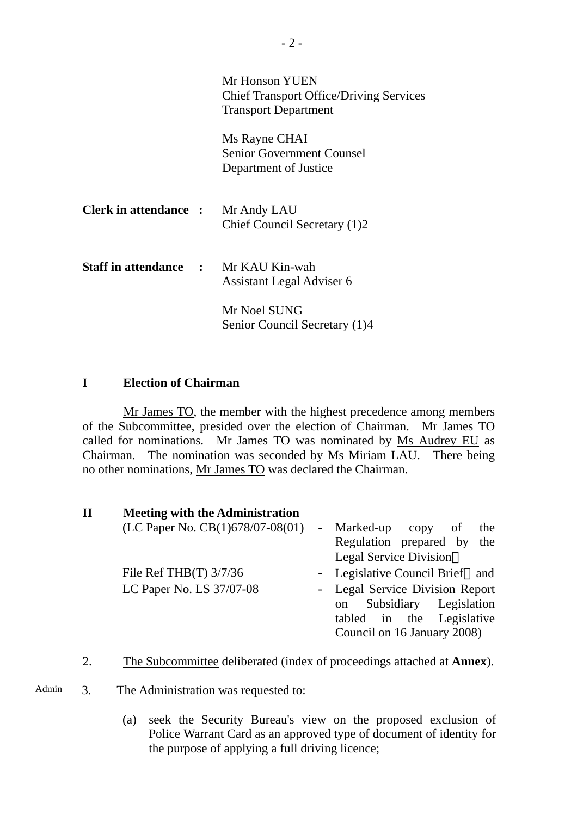|                                             | Mr Honson YUEN<br><b>Chief Transport Office/Driving Services</b><br><b>Transport Department</b> |
|---------------------------------------------|-------------------------------------------------------------------------------------------------|
|                                             | Ms Rayne CHAI<br><b>Senior Government Counsel</b><br>Department of Justice                      |
| <b>Clerk in attendance :</b>                | Mr Andy LAU<br>Chief Council Secretary (1)2                                                     |
| <b>Staff in attendance : Mr KAU Kin-wah</b> | Assistant Legal Adviser 6                                                                       |
|                                             | Mr Noel SUNG<br>Senior Council Secretary (1)4                                                   |

### **I Election of Chairman**

 Mr James TO, the member with the highest precedence among members of the Subcommittee, presided over the election of Chairman. Mr James TO called for nominations. Mr James TO was nominated by Ms Audrey EU as Chairman. The nomination was seconded by Ms Miriam LAU. There being no other nominations, Mr James TO was declared the Chairman.

| $\mathbf H$ | <b>Meeting with the Administration</b> |                                 |  |
|-------------|----------------------------------------|---------------------------------|--|
|             | (LC Paper No. $CB(1)678/07-08(01)$     | - Marked-up copy of<br>the      |  |
|             |                                        | Regulation prepared by the      |  |
|             |                                        | <b>Legal Service Division</b>   |  |
|             | File Ref THB $(T)$ 3/7/36              | - Legislative Council Brief and |  |
|             | LC Paper No. LS 37/07-08               | - Legal Service Division Report |  |
|             |                                        | Subsidiary Legislation<br>on    |  |
|             |                                        | tabled in the Legislative       |  |
|             |                                        | Council on 16 January 2008)     |  |
|             |                                        |                                 |  |

2. The Subcommittee deliberated (index of proceedings attached at **Annex**).

Admin 3. The Administration was requested to:

(a) seek the Security Bureau's view on the proposed exclusion of Police Warrant Card as an approved type of document of identity for the purpose of applying a full driving licence;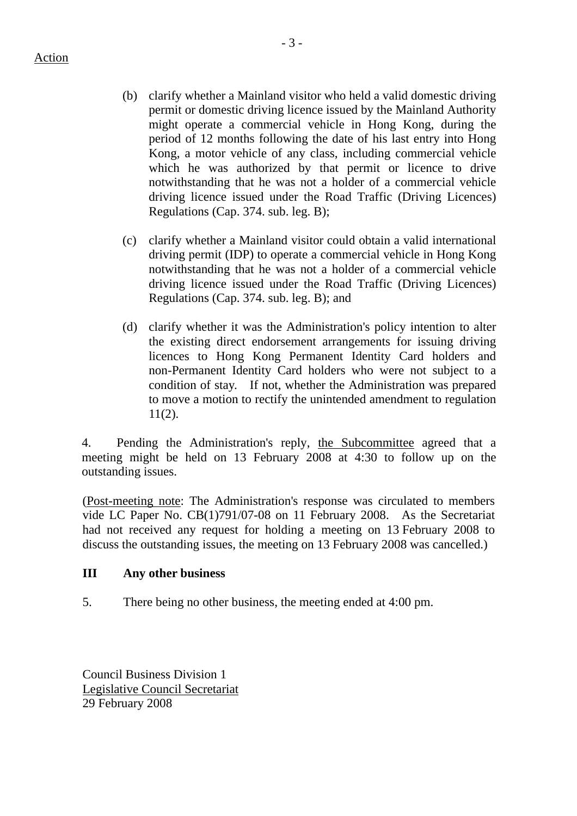- (b) clarify whether a Mainland visitor who held a valid domestic driving permit or domestic driving licence issued by the Mainland Authority might operate a commercial vehicle in Hong Kong, during the period of 12 months following the date of his last entry into Hong Kong, a motor vehicle of any class, including commercial vehicle which he was authorized by that permit or licence to drive notwithstanding that he was not a holder of a commercial vehicle driving licence issued under the Road Traffic (Driving Licences) Regulations (Cap. 374. sub. leg. B);
- (c) clarify whether a Mainland visitor could obtain a valid international driving permit (IDP) to operate a commercial vehicle in Hong Kong notwithstanding that he was not a holder of a commercial vehicle driving licence issued under the Road Traffic (Driving Licences) Regulations (Cap. 374. sub. leg. B); and
- (d) clarify whether it was the Administration's policy intention to alter the existing direct endorsement arrangements for issuing driving licences to Hong Kong Permanent Identity Card holders and non-Permanent Identity Card holders who were not subject to a condition of stay. If not, whether the Administration was prepared to move a motion to rectify the unintended amendment to regulation 11(2).

4. Pending the Administration's reply, the Subcommittee agreed that a meeting might be held on 13 February 2008 at 4:30 to follow up on the outstanding issues.

(Post-meeting note: The Administration's response was circulated to members vide LC Paper No. CB(1)791/07-08 on 11 February 2008. As the Secretariat had not received any request for holding a meeting on 13 February 2008 to discuss the outstanding issues, the meeting on 13 February 2008 was cancelled.)

# **III Any other business**

5. There being no other business, the meeting ended at 4:00 pm.

Council Business Division 1 Legislative Council Secretariat 29 February 2008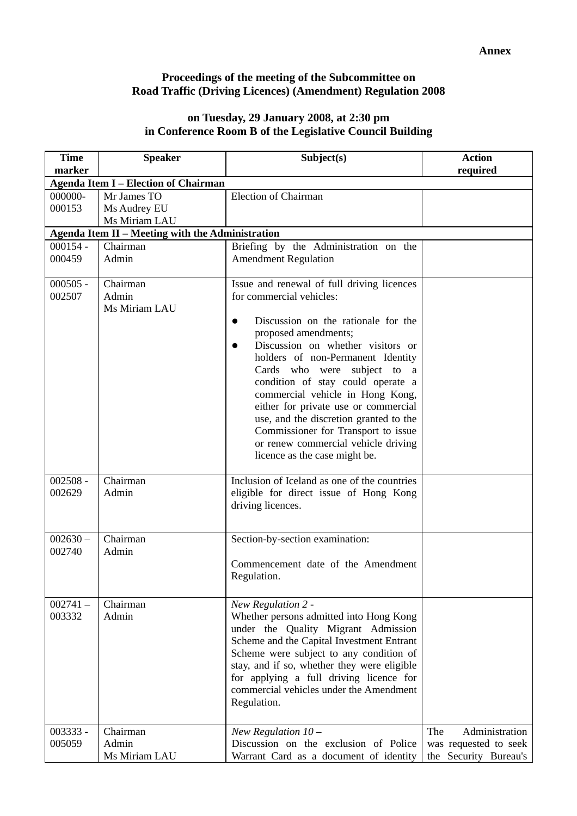### **Proceedings of the meeting of the Subcommittee on Road Traffic (Driving Licences) (Amendment) Regulation 2008**

### **on Tuesday, 29 January 2008, at 2:30 pm in Conference Room B of the Legislative Council Building**

| <b>Time</b>          | <b>Speaker</b>                                                    | Subject(s)                                                                                                                                                                                                                                                                                                                                                                                                                                                                                                                            | <b>Action</b>                                                           |  |  |  |
|----------------------|-------------------------------------------------------------------|---------------------------------------------------------------------------------------------------------------------------------------------------------------------------------------------------------------------------------------------------------------------------------------------------------------------------------------------------------------------------------------------------------------------------------------------------------------------------------------------------------------------------------------|-------------------------------------------------------------------------|--|--|--|
|                      | marker<br>required<br><b>Agenda Item I - Election of Chairman</b> |                                                                                                                                                                                                                                                                                                                                                                                                                                                                                                                                       |                                                                         |  |  |  |
| 000000-<br>000153    | Mr James TO<br>Ms Audrey EU<br>Ms Miriam LAU                      | <b>Election of Chairman</b>                                                                                                                                                                                                                                                                                                                                                                                                                                                                                                           |                                                                         |  |  |  |
|                      | <b>Agenda Item II - Meeting with the Administration</b>           |                                                                                                                                                                                                                                                                                                                                                                                                                                                                                                                                       |                                                                         |  |  |  |
| $000154 -$<br>000459 | Chairman<br>Admin                                                 | Briefing by the Administration on the<br><b>Amendment Regulation</b>                                                                                                                                                                                                                                                                                                                                                                                                                                                                  |                                                                         |  |  |  |
| $000505 -$<br>002507 | Chairman<br>Admin<br>Ms Miriam LAU                                | Issue and renewal of full driving licences<br>for commercial vehicles:<br>Discussion on the rationale for the<br>$\bullet$<br>proposed amendments;<br>Discussion on whether visitors or<br>holders of non-Permanent Identity<br>Cards who were subject to a<br>condition of stay could operate a<br>commercial vehicle in Hong Kong,<br>either for private use or commercial<br>use, and the discretion granted to the<br>Commissioner for Transport to issue<br>or renew commercial vehicle driving<br>licence as the case might be. |                                                                         |  |  |  |
| $002508 -$<br>002629 | Chairman<br>Admin                                                 | Inclusion of Iceland as one of the countries<br>eligible for direct issue of Hong Kong<br>driving licences.                                                                                                                                                                                                                                                                                                                                                                                                                           |                                                                         |  |  |  |
| $002630 -$<br>002740 | Chairman<br>Admin                                                 | Section-by-section examination:<br>Commencement date of the Amendment<br>Regulation.                                                                                                                                                                                                                                                                                                                                                                                                                                                  |                                                                         |  |  |  |
| $002741 -$<br>003332 | Chairman<br>Admin                                                 | New Regulation 2 -<br>Whether persons admitted into Hong Kong<br>under the Quality Migrant Admission<br>Scheme and the Capital Investment Entrant<br>Scheme were subject to any condition of<br>stay, and if so, whether they were eligible<br>for applying a full driving licence for<br>commercial vehicles under the Amendment<br>Regulation.                                                                                                                                                                                      |                                                                         |  |  |  |
| 003333 -<br>005059   | Chairman<br>Admin<br>Ms Miriam LAU                                | New Regulation $10 -$<br>Discussion on the exclusion of Police<br>Warrant Card as a document of identity                                                                                                                                                                                                                                                                                                                                                                                                                              | The<br>Administration<br>was requested to seek<br>the Security Bureau's |  |  |  |